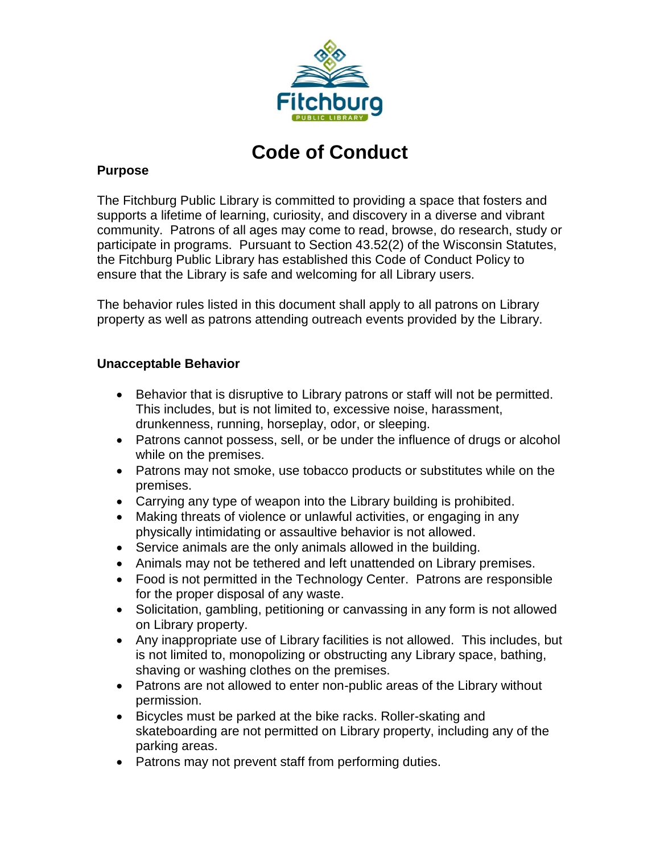

# **Code of Conduct**

## **Purpose**

The Fitchburg Public Library is committed to providing a space that fosters and supports a lifetime of learning, curiosity, and discovery in a diverse and vibrant community. Patrons of all ages may come to read, browse, do research, study or participate in programs. Pursuant to Section 43.52(2) of the Wisconsin Statutes, the Fitchburg Public Library has established this Code of Conduct Policy to ensure that the Library is safe and welcoming for all Library users.

The behavior rules listed in this document shall apply to all patrons on Library property as well as patrons attending outreach events provided by the Library.

# **Unacceptable Behavior**

- Behavior that is disruptive to Library patrons or staff will not be permitted. This includes, but is not limited to, excessive noise, harassment, drunkenness, running, horseplay, odor, or sleeping.
- Patrons cannot possess, sell, or be under the influence of drugs or alcohol while on the premises.
- Patrons may not smoke, use tobacco products or substitutes while on the premises.
- Carrying any type of weapon into the Library building is prohibited.
- Making threats of violence or unlawful activities, or engaging in any physically intimidating or assaultive behavior is not allowed.
- Service animals are the only animals allowed in the building.
- Animals may not be tethered and left unattended on Library premises.
- Food is not permitted in the Technology Center. Patrons are responsible for the proper disposal of any waste.
- Solicitation, gambling, petitioning or canvassing in any form is not allowed on Library property.
- Any inappropriate use of Library facilities is not allowed. This includes, but is not limited to, monopolizing or obstructing any Library space, bathing, shaving or washing clothes on the premises.
- Patrons are not allowed to enter non-public areas of the Library without permission.
- Bicycles must be parked at the bike racks. Roller-skating and skateboarding are not permitted on Library property, including any of the parking areas.
- Patrons may not prevent staff from performing duties.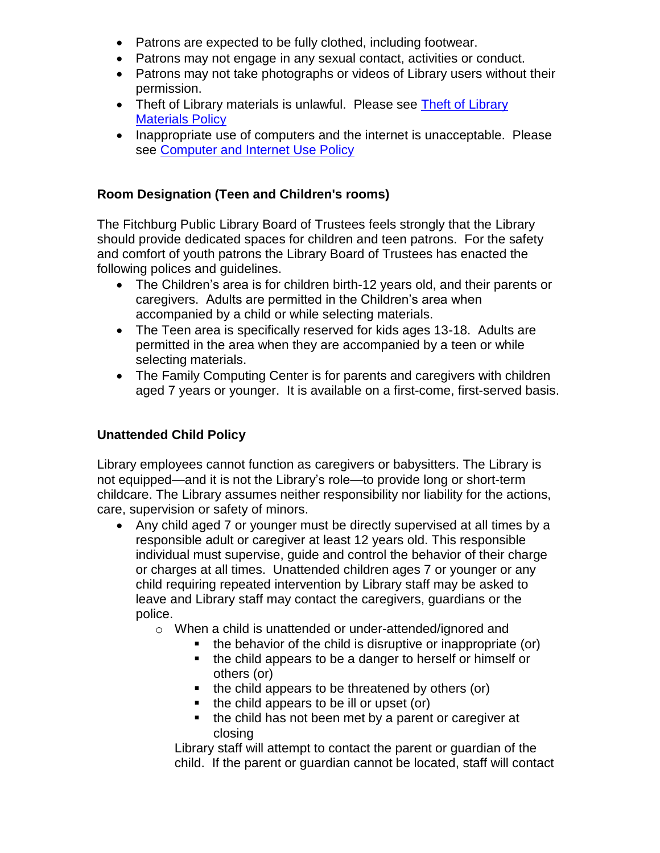- Patrons are expected to be fully clothed, including footwear.
- Patrons may not engage in any sexual contact, activities or conduct.
- Patrons may not take photographs or videos of Library users without their permission.
- • [Theft of Library](http://www.fitchburgwi.gov/DocumentCenter/Home/View/1154) materials is unlawful. Please see Theft of Library [Materials Policy](http://www.fitchburgwi.gov/DocumentCenter/Home/View/1154)
- Inappropriate use of computers and the internet is unacceptable. Please see [Computer and Internet Use Policy](http://www.fitchburgwi.gov/DocumentCenter/Home/View/1145)

#### **Room Designation (Teen and Children's rooms)**

The Fitchburg Public Library Board of Trustees feels strongly that the Library should provide dedicated spaces for children and teen patrons. For the safety and comfort of youth patrons the Library Board of Trustees has enacted the following polices and guidelines.

- The Children's area is for children birth-12 years old, and their parents or caregivers. Adults are permitted in the Children's area when accompanied by a child or while selecting materials.
- The Teen area is specifically reserved for kids ages 13-18. Adults are permitted in the area when they are accompanied by a teen or while selecting materials.
- The Family Computing Center is for parents and caregivers with children aged 7 years or younger. It is available on a first-come, first-served basis.

#### **Unattended Child Policy**

Library employees cannot function as caregivers or babysitters. The Library is not equipped—and it is not the Library's role—to provide long or short-term childcare. The Library assumes neither responsibility nor liability for the actions, care, supervision or safety of minors.

- Any child aged 7 or younger must be directly supervised at all times by a responsible adult or caregiver at least 12 years old. This responsible individual must supervise, guide and control the behavior of their charge or charges at all times. Unattended children ages 7 or younger or any child requiring repeated intervention by Library staff may be asked to leave and Library staff may contact the caregivers, guardians or the police.
	- o When a child is unattended or under-attended/ignored and
		- $\blacksquare$  the behavior of the child is disruptive or inappropriate (or)
		- the child appears to be a danger to herself or himself or others (or)
		- $\blacksquare$  the child appears to be threatened by others (or)
		- $\blacksquare$  the child appears to be ill or upset (or)
		- the child has not been met by a parent or caregiver at closing

Library staff will attempt to contact the parent or guardian of the child. If the parent or guardian cannot be located, staff will contact